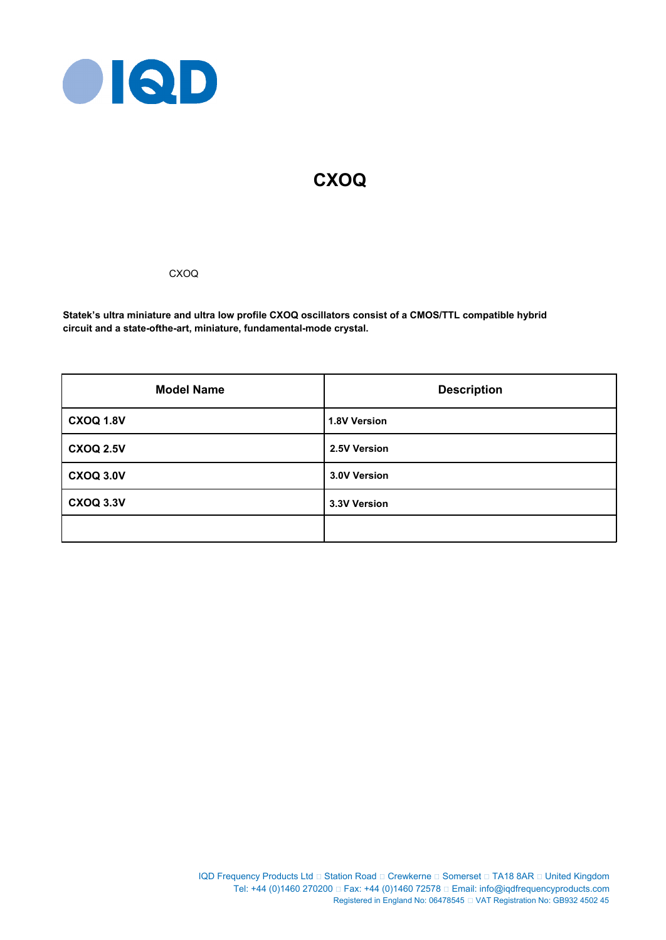

# **CXOQ**

## CXOQ

**Statek's ultra miniature and ultra low profile CXOQ oscillators consist of a CMOS/TTL compatible hybrid circuit and a state-ofthe-art, miniature, fundamental-mode crystal.**

| <b>Model Name</b> | <b>Description</b>  |
|-------------------|---------------------|
| <b>CXOQ 1.8V</b>  | <b>1.8V Version</b> |
| <b>CXOQ 2.5V</b>  | 2.5V Version        |
| <b>CXOQ 3.0V</b>  | 3.0V Version        |
| <b>CXOQ 3.3V</b>  | 3.3V Version        |
|                   |                     |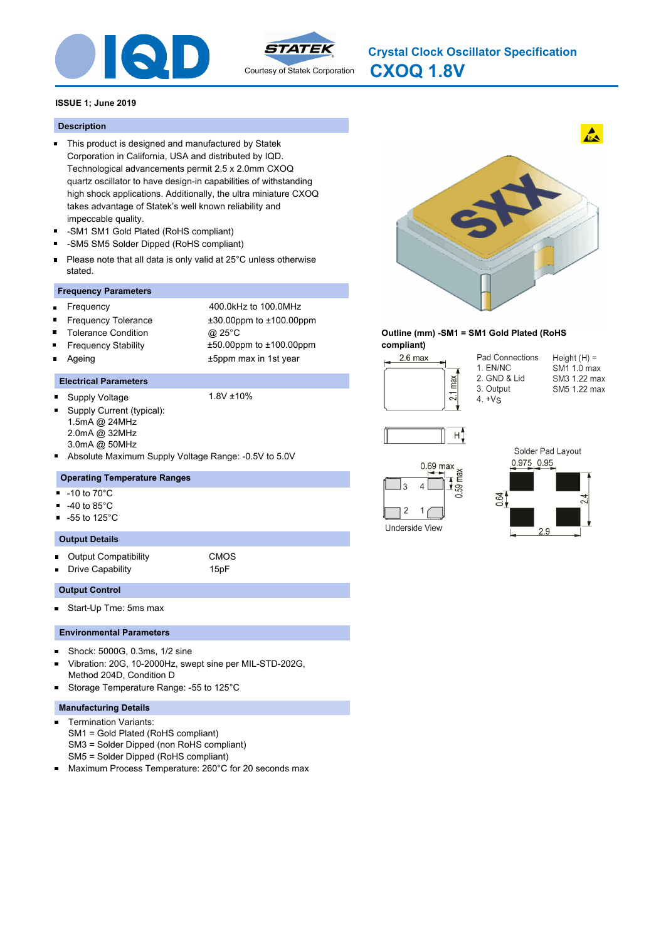



**CXOQ 1.8V Crystal Clock Oscillator Specification**

## **ISSUE 1; June 2019**

## **Description**

- This product is designed and manufactured by Statek Corporation in California, USA and distributed by IQD. Technological advancements permit 2.5 x 2.0mm CXOQ quartz oscillator to have design-in capabilities of withstanding high shock applications. Additionally, the ultra miniature CXOQ takes advantage of Statek's well known reliability and impeccable quality.
- -SM1 SM1 Gold Plated (RoHS compliant) Ē.
- n. -SM5 SM5 Solder Dipped (RoHS compliant)
- Please note that all data is only valid at 25°C unless otherwise  $\blacksquare$ stated.

## **Frequency Parameters**

- $\blacksquare$
- Frequency 400.0kHz to 100.0MHz Frequency Tolerance ±30.00ppm to ±100.00ppm
- $\blacksquare$ Tolerance Condition @ 25°C
	- Frequency Stability ±50.00ppm to ±100.00ppm
- Ageing the top of the top of the top of the top of the top of the top of the top of the top of the top of the top of the top of the top of the top of the top of the top of the top of the top of the top of the top of the to

## **Electrical Parameters**

Supply Voltage 1.8V ±10%

 $\blacksquare$ 

- Supply Current (typical): ä. 1.5mA @ 24MHz 2.0mA @ 32MHz 3.0mA @ 50MHz
- Absolute Maximum Supply Voltage Range: -0.5V to 5.0V

## **Operating Temperature Ranges**

- -10 to 70°C ٠
- -40 to 85°C
- $\blacksquare$ -55 to 125°C

## **Output Details**

- Output Compatibility CMOS  $\blacksquare$
- Drive Capability **15pF**

## **Output Control**

Start-Up Tme: 5ms max  $\blacksquare$ 

#### **Environmental Parameters**

- Shock: 5000G, 0.3ms, 1/2 sine  $\blacksquare$
- Vibration: 20G, 10-2000Hz, swept sine per MIL-STD-202G, Method 204D, Condition D
- Storage Temperature Range: -55 to 125°C п

## **Manufacturing Details**

- Termination Variants:  $\blacksquare$ SM1 = Gold Plated (RoHS compliant) SM3 = Solder Dipped (non RoHS compliant) SM5 = Solder Dipped (RoHS compliant)
- Maximum Process Temperature: 260°C for 20 seconds max



#### **Outline (mm) -SM1 = SM1 Gold Plated (RoHS compliant)**



Pad Connections 1. EN/NC 2. GND & Lid 3. Output  $4. +V<sub>S</sub>$ 





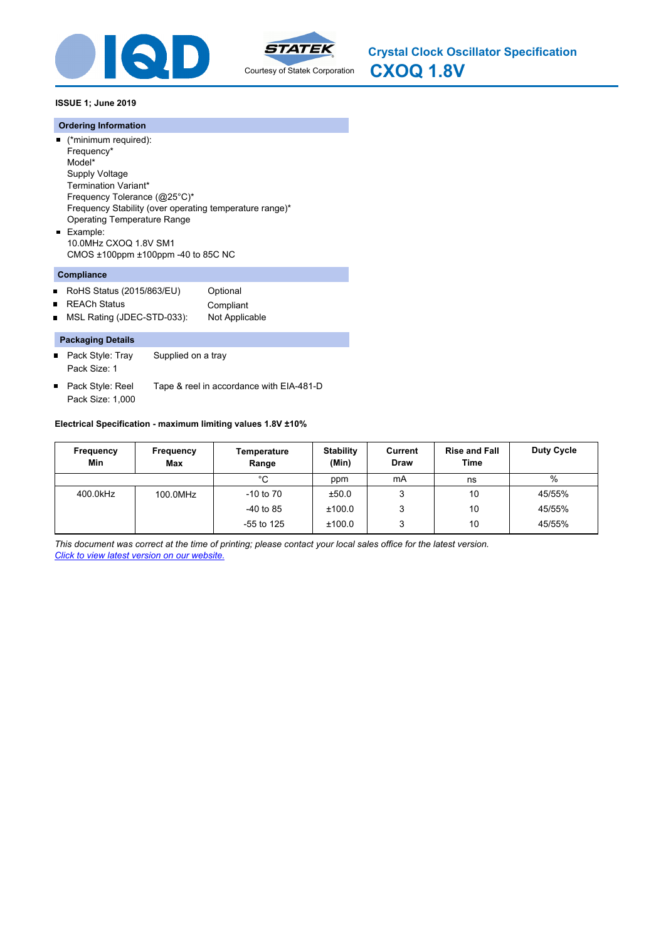



**CXOQ 1.8V Crystal Clock Oscillator Specification**

## **ISSUE 1; June 2019**

#### **Ordering Information**

(\*minimum required): Frequency\* Model\* Supply Voltage Termination Variant\* Frequency Tolerance (@25°C)\* Frequency Stability (over operating temperature range)\* Operating Temperature Range Example: 10.0MHz CXOQ 1.8V SM1

CMOS ±100ppm ±100ppm -40 to 85C NC

## **Compliance**

- RoHS Status (2015/863/EU) Optional  $\blacksquare$ ■ REACh Status Compliant
- MSL Rating (JDEC-STD-033): Not Applicable  $\blacksquare$

#### **Packaging Details**

- $\blacksquare$ Pack Style: Tray Supplied on a tray Pack Size: 1
- Pack Style: Reel Tape & reel in accordance with EIA-481-D Pack Size: 1,000

## **Electrical Specification - maximum limiting values 1.8V ±10%**

| Frequency<br>Min | Frequency<br>Max | Temperature<br>Range | <b>Stability</b><br>(Min) | Current<br><b>Draw</b> | <b>Rise and Fall</b><br>Time | <b>Duty Cycle</b> |
|------------------|------------------|----------------------|---------------------------|------------------------|------------------------------|-------------------|
|                  |                  | °C                   | ppm                       | mA                     | ns                           | %                 |
| 400.0kHz         | 100.0MHz         | $-10$ to $70$        | ±50.0                     | 3                      | 10                           | 45/55%            |
|                  |                  | $-40$ to 85          | ±100.0                    | 3                      | 10                           | 45/55%            |
|                  |                  | $-55$ to 125         | ±100.0                    | 3                      | 10                           | 45/55%            |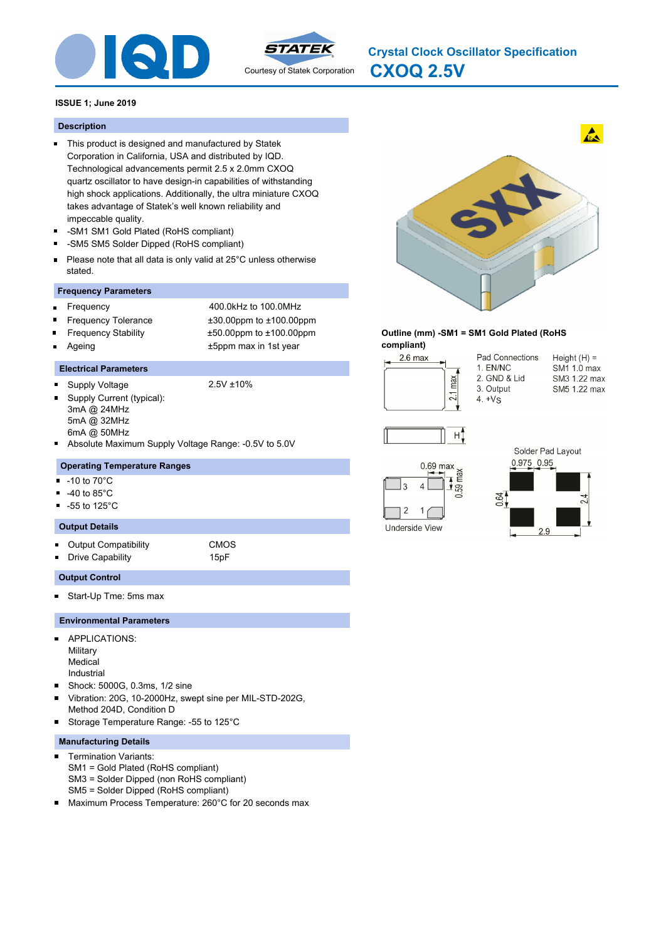



**CXOQ 2.5V Crystal Clock Oscillator Specification**

## **ISSUE 1; June 2019**

#### **Description**

- This product is designed and manufactured by Statek Corporation in California, USA and distributed by IQD. Technological advancements permit 2.5 x 2.0mm CXOQ quartz oscillator to have design-in capabilities of withstanding high shock applications. Additionally, the ultra miniature CXOQ takes advantage of Statek's well known reliability and impeccable quality.
- -SM1 SM1 Gold Plated (RoHS compliant) Ē.
- $\blacksquare$ -SM5 SM5 Solder Dipped (RoHS compliant)
- Please note that all data is only valid at 25°C unless otherwise  $\blacksquare$ stated.

#### **Frequency Parameters**

- Frequency 400.0kHz to 100.0MHz  $\blacksquare$
- Frequency Tolerance ±30.00ppm to ±100.00ppm
- Frequency Stability ±50.00ppm to ±100.00ppm
- Ë
- Ageing the top of the top of the top of the top of the top of the top of the top of the top of the top of the top of the top of the top of the top of the top of the top of the top of the top of the top of the top of the to
- 

# **Electrical Parameters**

 $\blacksquare$ Supply Voltage 2.5V ±10%

- Supply Current (typical):  $\blacksquare$ 3mA @ 24MHz 5mA @ 32MHz 6mA @ 50MHz
- o, Absolute Maximum Supply Voltage Range: -0.5V to 5.0V

## **Operating Temperature Ranges**

- -10 to 70°C  $\blacksquare$
- -40 to 85°C  $\blacksquare$
- -55 to 125°C  $\blacksquare$

#### **Output Details**

- $\blacksquare$ Output Compatibility CMOS
	-
	- Drive Capability **15pF**

#### **Output Control**

o.

Start-Up Tme: 5ms max

#### **Environmental Parameters**

- APPLICATIONS:  $\blacksquare$ **Military** Medical Industrial
- $\blacksquare$ Shock: 5000G, 0.3ms, 1/2 sine
- $\blacksquare$ Vibration: 20G, 10-2000Hz, swept sine per MIL-STD-202G, Method 204D, Condition D
- Storage Temperature Range: -55 to 125°C

#### **Manufacturing Details**

- Termination Variants:  $\blacksquare$ SM1 = Gold Plated (RoHS compliant) SM3 = Solder Dipped (non RoHS compliant) SM5 = Solder Dipped (RoHS compliant)
- $\blacksquare$ Maximum Process Temperature: 260°C for 20 seconds max



#### **Outline (mm) -SM1 = SM1 Gold Plated (RoHS compliant)**



Pad Connections 1. EN/NC 2. GND & Lid 3. Output  $4. +V<sub>S</sub>$ 





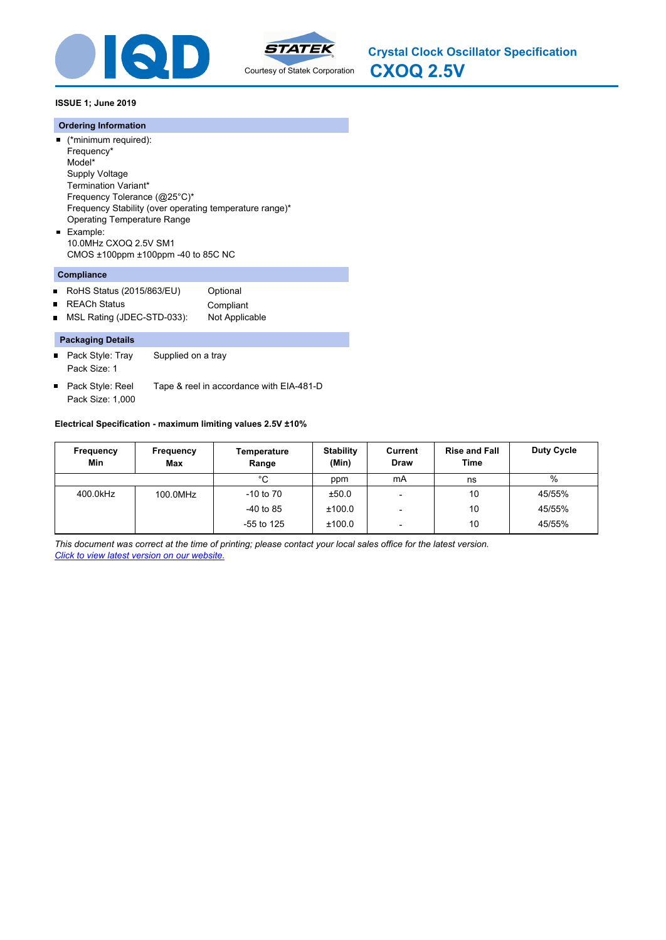



**CXOQ 2.5V Crystal Clock Oscillator Specification**

## **ISSUE 1; June 2019**

#### **Ordering Information**

(\*minimum required): Frequency\* Model\* Supply Voltage Termination Variant\* Frequency Tolerance (@25°C)\* Frequency Stability (over operating temperature range)\* Operating Temperature Range Example: 10.0MHz CXOQ 2.5V SM1

CMOS ±100ppm ±100ppm -40 to 85C NC

## **Compliance**

- RoHS Status (2015/863/EU) Optional  $\blacksquare$ ■ REACh Status Compliant
- MSL Rating (JDEC-STD-033): Not Applicable  $\blacksquare$

#### **Packaging Details**

- $\blacksquare$ Pack Style: Tray Supplied on a tray Pack Size: 1
- Pack Style: Reel Tape & reel in accordance with EIA-481-D Pack Size: 1,000

## **Electrical Specification - maximum limiting values 2.5V ±10%**

| Frequency<br>Min | Frequency<br><b>Max</b> | Temperature<br>Range | <b>Stability</b><br>(Min) | Current<br><b>Draw</b>   | <b>Rise and Fall</b><br>Time | <b>Duty Cycle</b> |
|------------------|-------------------------|----------------------|---------------------------|--------------------------|------------------------------|-------------------|
|                  |                         | °C                   | ppm                       | mA                       | ns                           | %                 |
| 400.0kHz         | 100.0MHz                | $-10$ to $70$        | ±50.0                     |                          | 10                           | 45/55%            |
|                  |                         | $-40$ to 85          | ±100.0                    | -                        | 10                           | 45/55%            |
|                  |                         | $-55$ to 125         | ±100.0                    | $\overline{\phantom{0}}$ | 10                           | 45/55%            |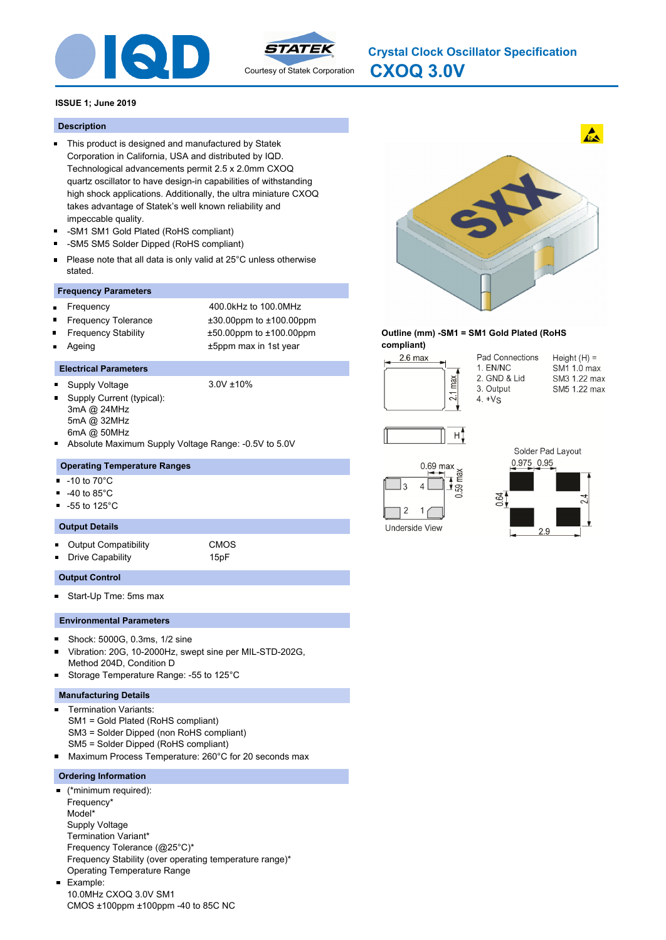



**CXOQ 3.0V Crystal Clock Oscillator Specification**

## **ISSUE 1; June 2019**

## **Description**

- This product is designed and manufactured by Statek Corporation in California, USA and distributed by IQD. Technological advancements permit 2.5 x 2.0mm CXOQ quartz oscillator to have design-in capabilities of withstanding high shock applications. Additionally, the ultra miniature CXOQ takes advantage of Statek's well known reliability and impeccable quality.
- -SM1 SM1 Gold Plated (RoHS compliant) Ē.
- $\blacksquare$ -SM5 SM5 Solder Dipped (RoHS compliant)
- Please note that all data is only valid at 25°C unless otherwise  $\blacksquare$ stated.

## **Frequency Parameters**

- Frequency 400.0kHz to 100.0MHz  $\blacksquare$
- Frequency Tolerance ±30.00ppm to ±100.00ppm
- Frequency Stability ±50.00ppm to ±100.00ppm
- 

Ageing the top of the top of the top of the top of the top of the top of the top of the top of the top of the top of the top of the top of the top of the top of the top of the top of the top of the top of the top of the to

## **Electrical Parameters**

 $\blacksquare$ Supply Voltage 3.0V ±10% ä.

- Supply Current (typical): 3mA @ 24MHz 5mA @ 32MHz 6mA @ 50MHz
- Absolute Maximum Supply Voltage Range: -0.5V to 5.0V

## **Operating Temperature Ranges**

- -10 to 70°C  $\blacksquare$
- -40 to 85°C  $\blacksquare$
- -55 to 125°C

## **Output Details**

- $\blacksquare$ Output Compatibility CMOS
	-
	- Drive Capability 15pF

## **Output Control**

o.

Start-Up Tme: 5ms max

#### **Environmental Parameters**

- Shock: 5000G, 0.3ms, 1/2 sine ×
- Vibration: 20G, 10-2000Hz, swept sine per MIL-STD-202G,  $\blacksquare$ Method 204D, Condition D
- Storage Temperature Range: -55 to 125°C  $\blacksquare$

#### **Manufacturing Details**

- Termination Variants:  $\blacksquare$ SM1 = Gold Plated (RoHS compliant) SM3 = Solder Dipped (non RoHS compliant) SM5 = Solder Dipped (RoHS compliant)
- Maximum Process Temperature: 260°C for 20 seconds max

#### **Ordering Information**

m.

(\*minimum required): Frequency\* Model\* Supply Voltage Termination Variant\* Frequency Tolerance (@25°C)\* Frequency Stability (over operating temperature range)\* Operating Temperature Range Example: 10.0MHz CXOQ 3.0V SM1

CMOS ±100ppm ±100ppm -40 to 85C NC

**Outline (mm) -SM1 = SM1 Gold Plated (RoHS compliant)** Pad Connections  $2.6$  max 1. EN/NC 2. GND & Lid max 3. Output  $\frac{21}{2}$  $4. +V_S$ 







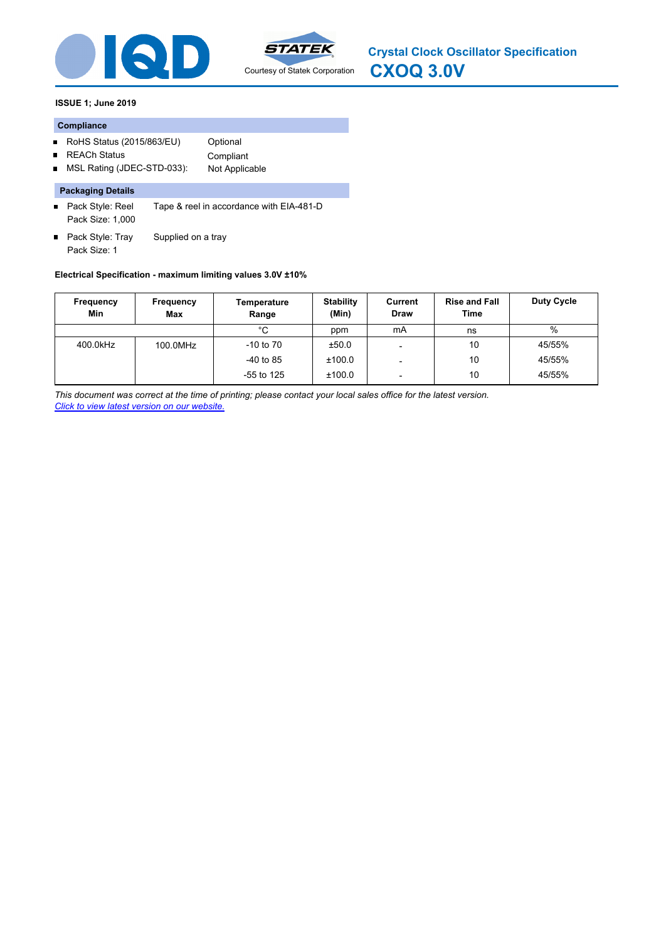



**CXOQ 3.0V Crystal Clock Oscillator Specification**

## **ISSUE 1; June 2019**

#### **Compliance**

- RoHS Status (2015/863/EU) Optional
- REACh Status **Compliant**  $\blacksquare$
- MSL Rating (JDEC-STD-033): Not Applicable

## **Packaging Details**

- Pack Style: Reel Tape & reel in accordance with EIA-481-D Pack Size: 1,000
- Pack Style: Tray Supplied on a tray Pack Size: 1

## **Electrical Specification - maximum limiting values 3.0V ±10%**

| Frequency<br>Min | Frequency<br><b>Max</b> | Temperature<br>Range | <b>Stability</b><br>(Min) | Current<br><b>Draw</b>   | <b>Rise and Fall</b><br><b>Time</b> | Duty Cycle |
|------------------|-------------------------|----------------------|---------------------------|--------------------------|-------------------------------------|------------|
|                  |                         | °C                   | ppm                       | mA                       | ns                                  | $\%$       |
| 400.0kHz         | 100.0MHz                | $-10$ to $70$        | ±50.0                     |                          | 10                                  | 45/55%     |
|                  |                         | $-40$ to 85          | ±100.0                    |                          | 10                                  | 45/55%     |
|                  |                         | $-55$ to 125         | ±100.0                    | $\overline{\phantom{0}}$ | 10                                  | 45/55%     |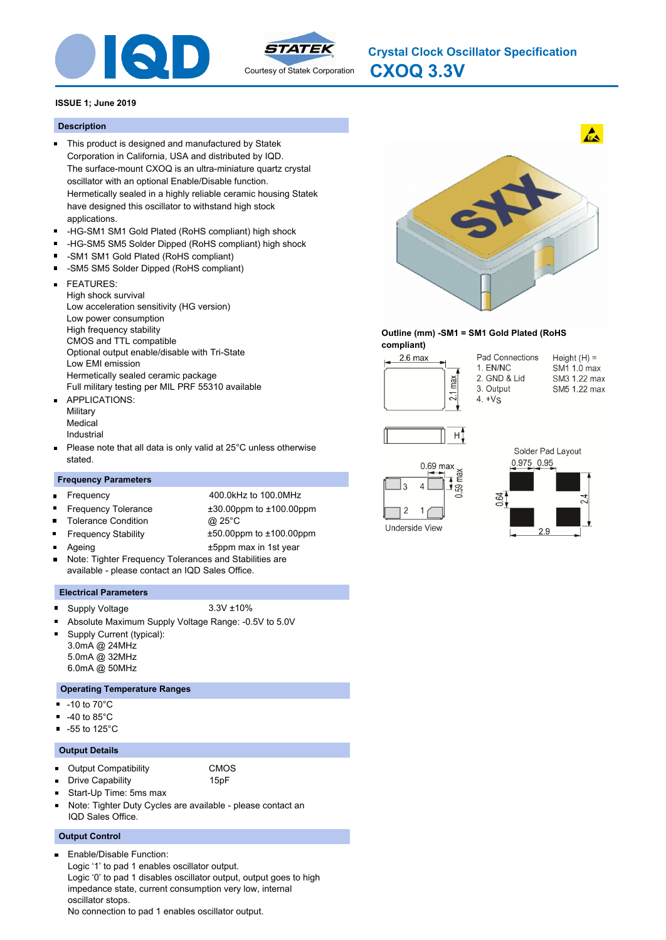



**CXOQ 3.3V Crystal Clock Oscillator Specification**

## **ISSUE 1; June 2019**

#### **Description**

- This product is designed and manufactured by Statek Corporation in California, USA and distributed by IQD. The surface-mount CXOQ is an ultra-miniature quartz crystal oscillator with an optional Enable/Disable function. Hermetically sealed in a highly reliable ceramic housing Statek have designed this oscillator to withstand high stock applications.
- -HG-SM1 SM1 Gold Plated (RoHS compliant) high shock  $\blacksquare$
- $\blacksquare$ -HG-SM5 SM5 Solder Dipped (RoHS compliant) high shock
- -SM1 SM1 Gold Plated (RoHS compliant)
- -SM5 SM5 Solder Dipped (RoHS compliant)  $\blacksquare$
- FEATURES:  $\blacksquare$

High shock survival Low acceleration sensitivity (HG version) Low power consumption High frequency stability CMOS and TTL compatible Optional output enable/disable with Tri-State Low EMI emission Hermetically sealed ceramic package Full military testing per MIL PRF 55310 available

- **APPLICATIONS: Military** Medical Industrial
- Please note that all data is only valid at 25°C unless otherwise  $\blacksquare$ stated.

#### **Frequency Parameters**

- Frequency 400.0kHz to 100.0MHz  $\blacksquare$ Frequency Tolerance ±30.00ppm to ±100.00ppm  $\blacksquare$ Tolerance Condition **@ 25°C**  $\blacksquare$  $\blacksquare$ Frequency Stability ±50.00ppm to ±100.00ppm Ageing the state of the state of the state of the state of the state of the state of the state of the state of the state of the state of the state of the state of the state of the state of the state of the state of the sta
- Note: Tighter Frequency Tolerances and Stabilities are available - please contact an IQD Sales Office.

#### **Electrical Parameters**

Supply Voltage 3.3V ±10%  $\blacksquare$ 

m.

- Absolute Maximum Supply Voltage Range: -0.5V to 5.0V
	- Supply Current (typical): 3.0mA @ 24MHz
	- 5.0mA @ 32MHz 6.0mA @ 50MHz

#### **Operating Temperature Ranges**

- -10 to 70°C
- $\blacksquare$ -40 to 85°C
- -55 to 125°C  $\blacksquare$

#### **Output Details**

Output Compatibility CMOS  $\blacksquare$ 

- 
- 
- Drive Capability **15pF**
- Start-Up Time: 5ms max
- Note: Tighter Duty Cycles are available please contact an IQD Sales Office.

#### **Output Control**

Enable/Disable Function: Logic '1' to pad 1 enables oscillator output. Logic '0' to pad 1 disables oscillator output, output goes to high impedance state, current consumption very low, internal oscillator stops. No connection to pad 1 enables oscillator output.



#### **Outline (mm) -SM1 = SM1 Gold Plated (RoHS compliant)**



Pad Connections 1. EN/NC 2. GND & Lid 3. Output  $4. +V<sub>S</sub>$ 





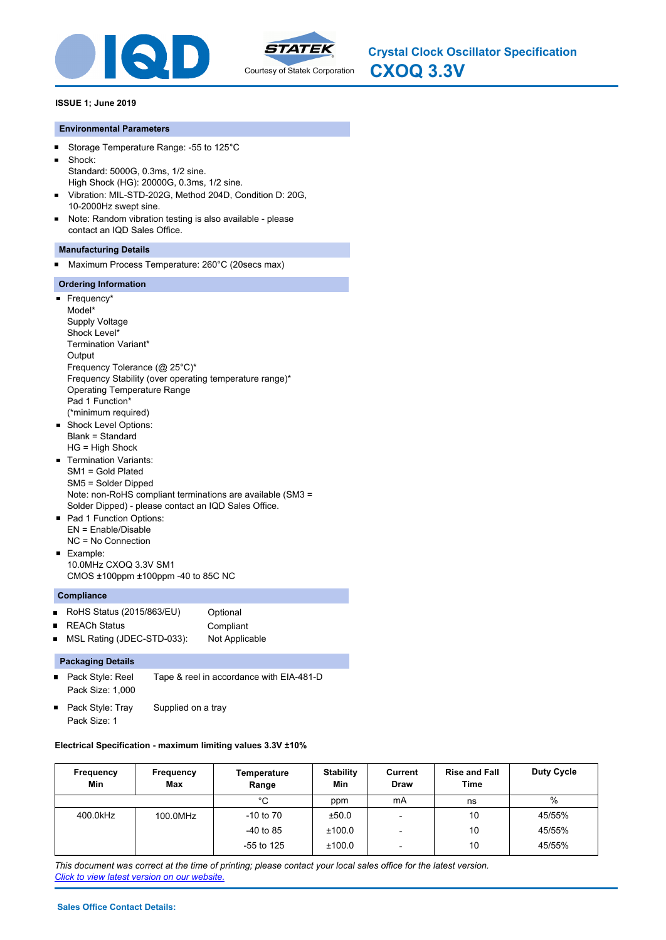



## **ISSUE 1; June 2019**

## **Environmental Parameters**

- $\blacksquare$ Storage Temperature Range: -55 to 125°C
- Shock:  $\blacksquare$ Standard: 5000G, 0.3ms, 1/2 sine. High Shock (HG): 20000G, 0.3ms, 1/2 sine.
- Vibration: MIL-STD-202G, Method 204D, Condition D: 20G,  $\blacksquare$ 10-2000Hz swept sine.
- Note: Random vibration testing is also available please  $\blacksquare$ contact an IQD Sales Office.

## **Manufacturing Details**

 $\blacksquare$ Maximum Process Temperature: 260°C (20secs max)

## **Ordering Information**

- Frequency\* Model\* Supply Voltage Shock Level\* Termination Variant\* **Output** Frequency Tolerance (@ 25°C)\* Frequency Stability (over operating temperature range)\* Operating Temperature Range Pad 1 Function\* (\*minimum required) **Shock Level Options:** Blank = Standard HG = High Shock **Termination Variants:** SM1 = Gold Plated SM5 = Solder Dipped Note: non-RoHS compliant terminations are available (SM3 = Solder Dipped) - please contact an IQD Sales Office. ■ Pad 1 Function Options:
- EN = Enable/Disable NC = No Connection **Example:**
- 10.0MHz CXOQ 3.3V SM1 CMOS ±100ppm ±100ppm -40 to 85C NC

## **Compliance**

- RoHS Status (2015/863/EU) Optional
- REACh Status **Compliant**
- MSL Rating (JDEC-STD-033): Not Applicable  $\blacksquare$

## **Packaging Details**

- $\blacksquare$ Pack Style: Reel Tape & reel in accordance with EIA-481-D Pack Size: 1,000
- Pack Style: Tray Supplied on a tray Pack Size: 1

## **Electrical Specification - maximum limiting values 3.3V ±10%**

| Frequency<br>Min | Frequency<br>Max | Temperature<br>Range | <b>Stability</b><br>Min | Current<br><b>Draw</b>   | <b>Rise and Fall</b><br>Time | <b>Duty Cycle</b> |
|------------------|------------------|----------------------|-------------------------|--------------------------|------------------------------|-------------------|
|                  |                  | °C                   | ppm                     | mA                       | ns                           | $\%$              |
| 400.0kHz         | 100.0MHz         | $-10$ to $70$        | ±50.0                   | $\overline{\phantom{a}}$ | 10                           | 45/55%            |
|                  |                  | $-40$ to 85          | ±100.0                  | -                        | 10                           | 45/55%            |
|                  |                  | $-55$ to 125         | ±100.0                  | -                        | 10                           | 45/55%            |